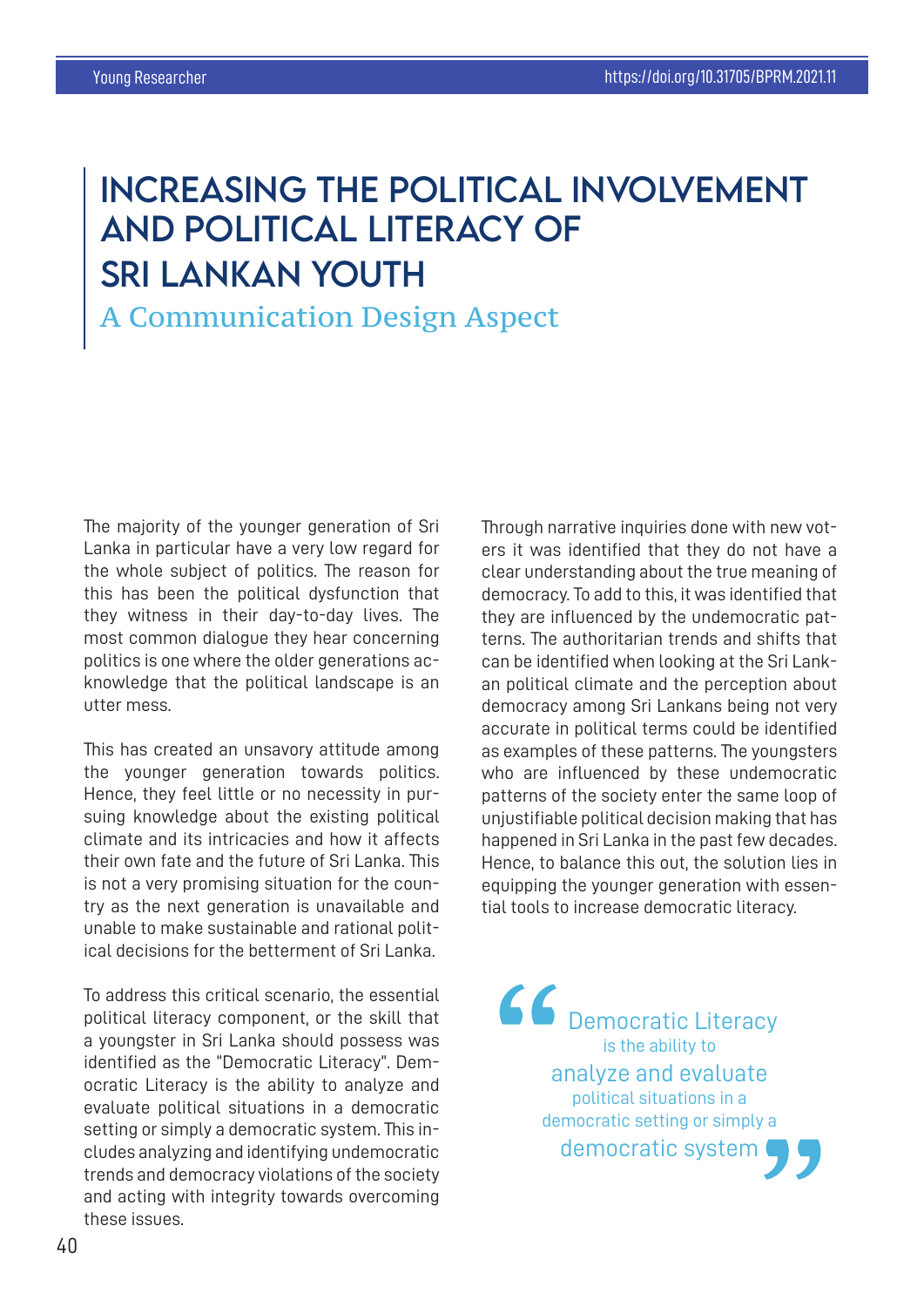## INCREASiNG THE POLiTiCAL INVOLVEMENT AND POLITICAL LITERACY OF SRi LANKAN YOUTH

## A Communication Design Aspect

The majority of the younger generation of Sri Lanka in particular have a very low regard for the whole subject of politics. The reason for this has been the political dysfunction that they witness in their day-to-day lives. The most common dialogue they hear concerning politics is one where the older generations acknowledge that the political landscape is an utter mess.

This has created an unsavory attitude among the younger generation towards politics. Hence, they feel little or no necessity in pursuing knowledge about the existing political climate and its intricacies and how it affects their own fate and the future of Sri Lanka. This is not a very promising situation for the country as the next generation is unavailable and unable to make sustainable and rational political decisions for the betterment of Sri Lanka.

To address this critical scenario, the essential political literacy component, or the skill that a youngster in Sri Lanka should possess was identified as the "Democratic Literacy". Democratic Literacy is the ability to analyze and evaluate political situations in a democratic setting or simply a democratic system. This includes analyzing and identifying undemocratic trends and democracy violations of the society and acting with integrity towards overcoming these issues.

Through narrative inquiries done with new voters it was identified that they do not have a clear understanding about the true meaning of democracy. To add to this, it was identified that they are influenced by the undemocratic patterns. The authoritarian trends and shifts that can be identified when looking at the Sri Lankan political climate and the perception about democracy among Sri Lankans being not very accurate in political terms could be identified as examples of these patterns. The youngsters who are influenced by these undemocratic patterns of the society enter the same loop of unjustifiable political decision making that has happened in Sri Lanka in the past few decades. Hence, to balance this out, the solution lies in equipping the younger generation with essential tools to increase democratic literacy.

66 Democratic Literacy is the ability to analyze and evaluate political situations in a democratic setting or simply a democratic system